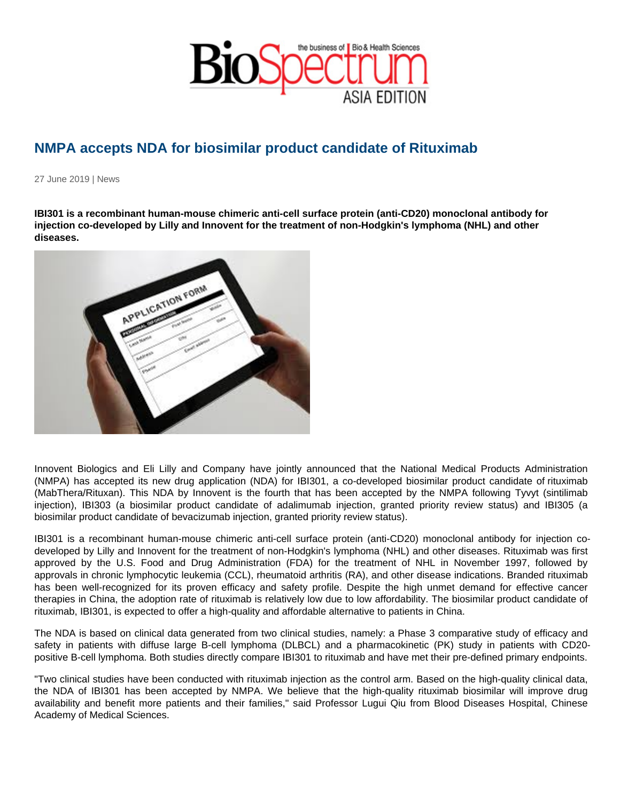## NMPA accepts NDA for biosimilar product candidate of Rituximab

27 June 2019 | News

IBI301 is a recombinant human-mouse chimeric anti-cell surface protein (anti-CD20) monoclonal antibody for injection co-developed by Lilly and Innovent for the treatment of non-Hodgkin's lymphoma (NHL) and other diseases.

Innovent Biologics and Eli Lilly and Company have jointly announced that the National Medical Products Administration (NMPA) has accepted its new drug application (NDA) for IBI301, a co-developed biosimilar product candidate of rituximab (MabThera/Rituxan). This NDA by Innovent is the fourth that has been accepted by the NMPA following Tyvyt (sintilimab injection), IBI303 (a biosimilar product candidate of adalimumab injection, granted priority review status) and IBI305 (a biosimilar product candidate of bevacizumab injection, granted priority review status).

IBI301 is a recombinant human-mouse chimeric anti-cell surface protein (anti-CD20) monoclonal antibody for injection codeveloped by Lilly and Innovent for the treatment of non-Hodgkin's lymphoma (NHL) and other diseases. Rituximab was first approved by the U.S. Food and Drug Administration (FDA) for the treatment of NHL in November 1997, followed by approvals in chronic lymphocytic leukemia (CCL), rheumatoid arthritis (RA), and other disease indications. Branded rituximab has been well-recognized for its proven efficacy and safety profile. Despite the high unmet demand for effective cancer therapies in China, the adoption rate of rituximab is relatively low due to low affordability. The biosimilar product candidate of rituximab, IBI301, is expected to offer a high-quality and affordable alternative to patients in China.

The NDA is based on clinical data generated from two clinical studies, namely: a Phase 3 comparative study of efficacy and safety in patients with diffuse large B-cell lymphoma (DLBCL) and a pharmacokinetic (PK) study in patients with CD20 positive B-cell lymphoma. Both studies directly compare IBI301 to rituximab and have met their pre-defined primary endpoints.

"Two clinical studies have been conducted with rituximab injection as the control arm. Based on the high-quality clinical data, the NDA of IBI301 has been accepted by NMPA. We believe that the high-quality rituximab biosimilar will improve drug availability and benefit more patients and their families," said Professor Lugui Qiu from Blood Diseases Hospital, Chinese Academy of Medical Sciences.